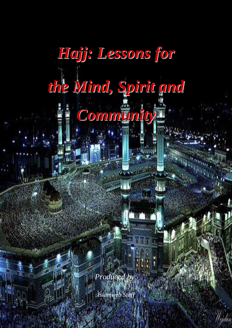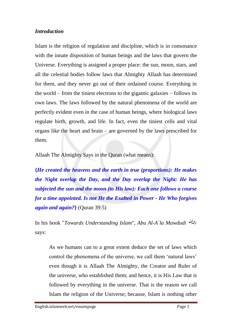### *Introduction*

Islam is the religion of regulation and discipline, which is in consonance with the innate disposition of human beings and the laws that govern the Universe. Everything is assigned a proper place: the sun, moon, stars, and all the celestial bodies follow laws that Almighty Allaah has determined for them, and they never go out of their ordained course. Everything in the world – from the tiniest electrons to the gigantic galaxies – follows its own laws. The laws followed by the natural phenomena of the world are perfectly evident even in the case of human beings, where biological laws regulate birth, growth, and life. In fact, even the tiniest cells and vital organs like the heart and brain – are governed by the laws prescribed for them.

Allaah The Almighty Says in the Quran (what means):

**{***He created the heavens and the earth in true (proportions): He makes the Night overlap the Day, and the Day overlap the Night: He has subjected the sun and the moon (to His law): Each one follows a course for a time appointed. Is not He the Exalted in Power - He Who forgives again and again?***}** (Quran 39:5)

In his book "*Towards Understanding Islam*", *Abu Al-A`la Mawdudi* says:

As we humans can to a great extent deduce the set of laws which control the phenomena of the universe, we call them 'natural laws' even though it is Allaah The Almighty, the Creator and Ruler of the universe, who established them; and hence, it is His Law that is followed by everything in the universe. That is the reason we call Islam the religion of the Universe; because, Islam is nothing other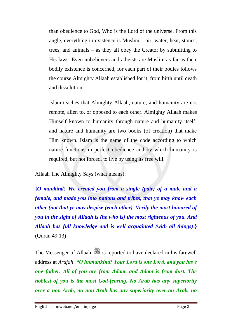than obedience to God, Who is the Lord of the universe. From this angle, everything in existence is Muslim – air, water, heat, stones, trees, and animals – as they all obey the Creator by submitting to His laws. Even unbelievers and atheists are Muslim as far as their bodily existence is concerned, for each part of their bodies follows the course Almighty Allaah established for it, from birth until death and dissolution.

Islam teaches that Almighty Allaah, nature, and humanity are not remote, alien to, or opposed to each other. Almighty Allaah makes Himself known to humanity through nature and humanity itself: and nature and humanity are two books (of creation) that make Him known. Islam is the name of the code according to which nature functions in perfect obedience and by which humanity is required, but not forced, to live by using its free will.

Allaah The Almighty Says (what means):

**{***O mankind! We created you from a single (pair) of a male and a female, and made you into nations and tribes, that ye may know each other (not that ye may despise (each other). Verily the most honored of you in the sight of Allaah is (he who is) the most righteous of you. And Allaah has full knowledge and is well acquainted (with all things)***.}** (Quran 49:13)

The Messenger of Allaah  $\frac{365}{100}$  is reported to have declared in his farewell address at *Arafah*: *"O humankind! Your Lord is one Lord, and you have one father. All of you are from Adam, and Adam is from dust. The noblest of you is the most God-fearing. No Arab has any superiority over a non-Arab, no non-Arab has any superiority over an Arab, no*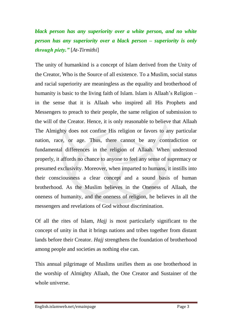# *black person has any superiority over a white person, and no white person has any superiority over a black person – superiority is only through piety."* [*At-Tirmithi*]

The unity of humankind is a concept of Islam derived from the Unity of the Creator, Who is the Source of all existence. To a Muslim, social status and racial superiority are meaningless as the equality and brotherhood of humanity is basic to the living faith of Islam. Islam is Allaah's Religion – in the sense that it is Allaah who inspired all His Prophets and Messengers to preach to their people, the same religion of submission to the will of the Creator. Hence, it is only reasonable to believe that Allaah The Almighty does not confine His religion or favors to any particular nation, race, or age. Thus, there cannot be any contradiction or fundamental differences in the religion of Allaah. When understood properly, it affords no chance to anyone to feel any sense of supremacy or presumed exclusivity. Moreover, when imparted to humans, it instills into their consciousness a clear concept and a sound basis of human brotherhood. As the Muslim believes in the Oneness of Allaah, the oneness of humanity, and the oneness of religion, he believes in all the messengers and revelations of God without discrimination.

Of all the rites of Islam, *Hajj* is most particularly significant to the concept of unity in that it brings nations and tribes together from distant lands before their Creator. *Hajj* strengthens the foundation of brotherhood among people and societies as nothing else can.

This annual pilgrimage of Muslims unifies them as one brotherhood in the worship of Almighty Allaah, the One Creator and Sustainer of the whole universe.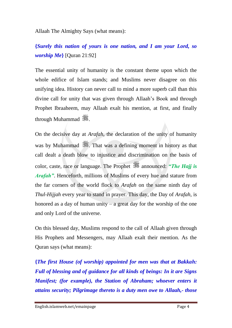Allaah The Almighty Says (what means):

**{***Surely this nation of yours is one nation, and I am your Lord, so worship Me***}** [Quran 21:92]

The essential unity of humanity is the constant theme upon which the whole edifice of Islam stands; and Muslims never disagree on this unifying idea. History can never call to mind a more superb call than this divine call for unity that was given through Allaah's Book and through Prophet Ibraaheem, may Allaah exalt his mention, at first, and finally through Muhammad ...

On the decisive day at *Arafah*, the declaration of the unity of humanity was by Muhammad  $\frac{1}{2}$ . That was a defining moment in history as that call dealt a death blow to injustice and discrimination on the basis of color, caste, race or language. The Prophet  $\frac{dS}{dx}$  announced: *"The Hajj is Arafah"*. Henceforth, millions of Muslims of every hue and stature from the far corners of the world flock to *Arafah* on the same ninth day of *Thul-Hijjah* every year to stand in prayer. This day, the Day of *Arafah*, is honored as a day of human unity  $-$  a great day for the worship of the one and only Lord of the universe.

On this blessed day, Muslims respond to the call of Allaah given through His Prophets and Messengers, may Allaah exalt their mention. As the Quran says (what means):

**{***The first House (of worship) appointed for men was that at Bakkah: Full of blessing and of guidance for all kinds of beings: In it are Signs Manifest; (for example), the Station of Abraham; whoever enters it attains security; Pilgrimage thereto is a duty men owe to Allaah,- those*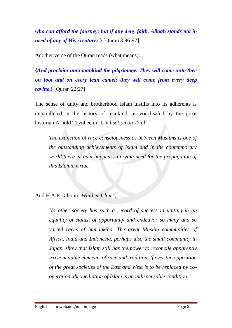*who can afford the journey; but if any deny faith, Allaah stands not in need of any of His creatures.***}** [Quran 3:96-97]

Another verse of the Quran reads (what means):

**{***And proclaim unto mankind the pilgrimage. They will come unto thee on foot and on every lean camel; they will come from every deep ravine***.}** [Quran 22:27]

The sense of unity and brotherhood Islam instills into its adherents is unparalleled in the history of mankind, as vouchsafed by the great historian Arnold Toynbee in "*Civilisation on Trial*":

*The extinction of race consciousness as between Muslims is one of the outstanding achievements of Islam and in the contemporary world there is, as it happens, a crying need for the propagation of this Islamic virtue.*

And H.A.R Gibb in "*Whither Islam*",

*No other society has such a record of success in uniting in an equality of status, of opportunity and endeavor so many and so varied races of humankind. The great Muslim communities of Africa, India and Indonesia, perhaps also the small community in Japan, show that Islam still has the power to reconcile apparently irreconcilable elements of race and tradition. If ever the opposition of the great societies of the East and West is to be replaced by cooperation, the mediation of Islam is an indispensable condition.*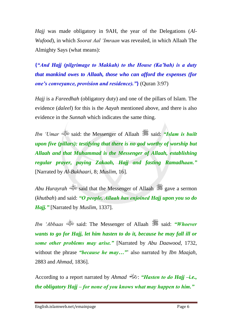*Hajj* was made obligatory in 9AH, the year of the Delegations (*Al-Wufood*), in which *Soorat Aal 'Imraan* was revealed, in which Allaah The Almighty Says (what means):

**{***"And Hajj (pilgrimage to Makkah) to the House (Ka'bah) is a duty that mankind owes to Allaah, those who can afford the expenses (for one's conveyance, provision and residence)."***}** (Quran 3:97)

*Hajj* is a *Fareedhah* (obligatory duty) and one of the pillars of Islam. The evidence (*daleel*) for this is the *Aayah* mentioned above, and there is also evidence in the *Sunnah* which indicates the same thing.

*Ibn 'Umar* said: the Messenger of Allaah is said: *"Islam is built*" *upon five (pillars): testifying that there is no god worthy of worship but Allaah and that Muhammad is the Messenger of Allaah, establishing regular prayer, paying Zakaah, Hajj and fasting Ramadhaan."* [Narrated by *Al*-*Bukhaari*, 8; *Muslim*, 16].

*Abu Hurayrah* said that the Messenger of Allaah gave a sermon (*khutbah*) and said: *"O people, Allaah has enjoined Hajj upon you so do Hajj."* [Narrated by *Muslim*, 1337].

*Ibn 'Abbaas* said: The Messenger of Allaah  $\frac{36}{25}$  said: *"Whoever wants to go for Hajj, let him hasten to do it, because he may fall ill or some other problems may arise."* [Narrated by *Abu Daawood*, 1732, without the phrase *"because he may…"*' also narrated by *Ibn Maajah*, 2883 and *Ahmad*, 1836].

According to a report narrated by *Ahmad* : *"Hasten to do Hajj –i.e., the obligatory Hajj – for none of you knows what may happen to him."*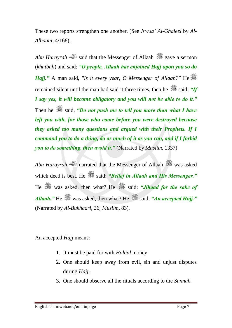These two reports strengthen one another. (See *Irwaa' Al-Ghaleel* by *Al*-*Albaani*, 4/168).

*Abu Hurayrah* said that the Messenger of Allaah gave a sermon (*khutbah*) and said: *"O people, Allaah has enjoined Hajj upon you so do Hajj.*" A man said, "Is it every year, O Messenger of Allaah?" He remained silent until the man had said it three times, then he  $\frac{36}{16}$  said: *"If I say yes, it will become obligatory and you will not be able to do it."* Then he  $\frac{dS}{dx}$  said, *"Do not push me to tell you more than what I have left you with, for those who came before you were destroyed because they asked too many questions and argued with their Prophets. If I command you to do a thing, do as much of it as you can, and if I forbid you to do something, then avoid it."* (Narrated by *Muslim*, 1337)

*Abu Hurayrah*  $\frac{d}{dx}$  narrated that the Messenger of Allaah  $\frac{d}{dx}$  was asked which deed is best. He  $\frac{36}{25}$  said: *"Belief in Allaah and His Messenger.*" He  $\frac{365}{256}$  was asked, then what? He  $\frac{365}{256}$  said: *"Jihaad for the sake of Allaah."* He was asked, then what? He said: *"An accepted Hajj."* (Narrated by *Al*-*Bukhaari*, 26; *Muslim*, 83).

An accepted *Hajj* means:

- 1. It must be paid for with *Halaal* money
- 2. One should keep away from evil, sin and unjust disputes during *Hajj*.
- 3. One should observe all the rituals according to the *Sunnah.*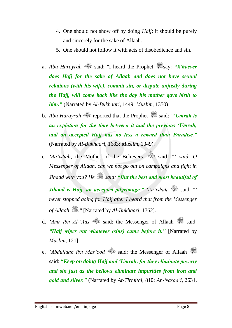- 4. One should not show off by doing *Hajj*; it should be purely and sincerely for the sake of Allaah.
- 5. One should not follow it with acts of disobedience and sin.
- a. *Abu Hurayrah* said: "I heard the Prophet say: *"Whoever does Hajj for the sake of Allaah and does not have sexual relations (with his wife), commit sin, or dispute unjustly during the Hajj, will come back like the day his mother gave birth to him."* (Narrated by *Al-Bukhaari*, 1449; *Muslim*, 1350)
- b. *Abu Hurayrah* is reported that the Prophet said: "*Umrah is an expiation for the time between it and the previous 'Umrah, and an accepted Hajj has no less a reward than Paradise."* (Narrated by *Al-Bukhaari*, 1683; *Muslim*, 1349).
- c. *'Aa'ishah*, the Mother of the Believers said: *"I said, O Messenger of Allaah, can we not go out on campaigns and fight in Jihaad with you? He said: "But the best and most beautiful of Jihaad is Hajj, an accepted pilgrimage.*" 'Aa'ishah said, "I *never stopped going for Hajj after I heard that from the Messenger of Allaah ."* [Narrated by *Al-Bukhaari*, 1762].
- d. 'Amr ibn Al-'Aas said: the Messenger of Allaah  $\frac{36}{25}$  said: *"Hajj wipes out whatever (sins) came before it."* [Narrated by *Muslim*, 121].
- e. *'Abdullaah ibn Mas'ood* said: the Messenger of Allaah said: **"***Keep on doing Hajj and 'Umrah, for they eliminate poverty and sin just as the bellows eliminate impurities from iron and gold and silver."* (Narrated by *At-Tirmithi*, 810; *An-Nasaa'i*, 2631.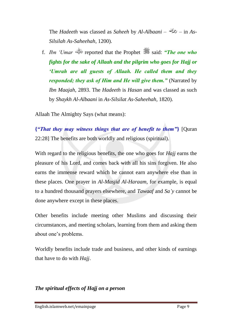The *Hadeeth* was classed as *Saheeh* by *Al-Albaani* – – in *As-Silsilah As-Saheehah*, 1200).

f. *Ibn 'Umar*  $\frac{d}{dx}$  reported that the Prophet  $\frac{d}{dx}$  said: *"The one who fights for the sake of Allaah and the pilgrim who goes for Hajj or 'Umrah are all guests of Allaah. He called them and they responded; they ask of Him and He will give them."* (Narrated by *Ibn Maajah*, 2893. The *Hadeeth* is *Hasan* and was classed as such by *Shaykh Al-Albaani* in *As-Silsilat As-Saheehah*, 1820).

Allaah The Almighty Says (what means):

**{***"That they may witness things that are of benefit to them"***}** [Quran 22:28] The benefits are both worldly and religious (spiritual).

With regard to the religious benefits, the one who goes for *Hajj* earns the pleasure of his Lord, and comes back with all his sins forgiven. He also earns the immense reward which he cannot earn anywhere else than in these places. One prayer in *Al-Masjid Al-Haraam*, for example, is equal to a hundred thousand prayers elsewhere, and *Tawaaf* and *Sa'y* cannot be done anywhere except in these places.

Other benefits include meeting other Muslims and discussing their circumstances, and meeting scholars, learning from them and asking them about one's problems.

Worldly benefits include trade and business, and other kinds of earnings that have to do with *Hajj*.

#### *The spiritual effects of Hajj on a person*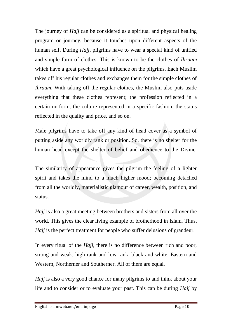The journey of *Hajj* can be considered as a spiritual and physical healing program or journey, because it touches upon different aspects of the human self. During *Hajj*, pilgrims have to wear a special kind of unified and simple form of clothes. This is known to be the clothes of *Ihraam* which have a great psychological influence on the pilgrims. Each Muslim takes off his regular clothes and exchanges them for the simple clothes of *Ihraam*. With taking off the regular clothes, the Muslim also puts aside everything that these clothes represent; the profession reflected in a certain uniform, the culture represented in a specific fashion, the status reflected in the quality and price, and so on.

Male pilgrims have to take off any kind of head cover as a symbol of putting aside any worldly rank or position. So, there is no shelter for the human head except the shelter of belief and obedience to the Divine.

The similarity of appearance gives the pilgrim the feeling of a lighter spirit and takes the mind to a much higher mood; becoming detached from all the worldly, materialistic glamour of career, wealth, position, and status.

*Hajj* is also a great meeting between brothers and sisters from all over the world. This gives the clear living example of brotherhood in Islam. Thus, *Hajj* is the perfect treatment for people who suffer delusions of grandeur.

In every ritual of the *Hajj*, there is no difference between rich and poor, strong and weak, high rank and low rank, black and white, Eastern and Western, Northerner and Southerner. All of them are equal.

*Hajj* is also a very good chance for many pilgrims to and think about your life and to consider or to evaluate your past. This can be during *Hajj* by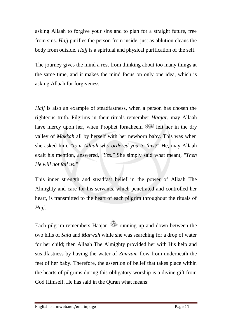asking Allaah to forgive your sins and to plan for a straight future, free from sins. *Hajj* purifies the person from inside, just as ablution cleans the body from outside. *Hajj* is a spiritual and physical purification of the self.

The journey gives the mind a rest from thinking about too many things at the same time, and it makes the mind focus on only one idea, which is asking Allaah for forgiveness.

*Hajj* is also an example of steadfastness, when a person has chosen the righteous truth. Pilgrims in their rituals remember *Haajar*, may Allaah have mercy upon her, when Prophet Ibraaheem left her in the dry valley of *Makkah* all by herself with her newborn baby. This was when she asked him, *"Is it Allaah who ordered you to this?*" He, may Allaah exalt his mention, answered, *"Yes."* She simply said what meant*, "Then He will not fail us."*

This inner strength and steadfast belief in the power of Allaah The Almighty and care for his servants, which penetrated and controlled her heart, is transmitted to the heart of each pilgrim throughout the rituals of *Hajj*.

Each pilgrim remembers Haajar  $\ddot{\ddot{\otimes}}$  running up and down between the two hills of *Safa* and *Marwah* while she was searching for a drop of water for her child; then Allaah The Almighty provided her with His help and steadfastness by having the water of *Zamzam* flow from underneath the feet of her baby. Therefore, the assertion of belief that takes place within the hearts of pilgrims during this obligatory worship is a divine gift from God Himself. He has said in the Quran what means: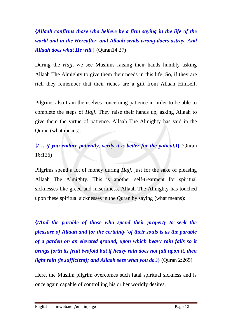**{***Allaah confirms those who believe by a firm saying in the life of the world and in the Hereafter, and Allaah sends wrong-doers astray. And Allaah does what He will.***}** (Quran14:27)

During the *Hajj*, we see Muslims raising their hands humbly asking Allaah The Almighty to give them their needs in this life. So, if they are rich they remember that their riches are a gift from Allaah Himself.

Pilgrims also train themselves concerning patience in order to be able to complete the steps of *Hajj*. They raise their hands up, asking Allaah to give them the virtue of patience. Allaah The Almighty has said in the Quran (what means):

**{***(… if you endure patiently, verily it is better for the patient.)***}** (Quran 16:126)

Pilgrims spend a lot of money during *Hajj*, just for the sake of pleasing Allaah The Almighty. This is another self-treatment for spiritual sicknesses like greed and miserliness. Allaah The Almighty has touched upon these spiritual sicknesses in the Quran by saying (what means):

**{***(And the parable of those who spend their property to seek the pleasure of Allaah and for the certainty 'of their souls is as the parable of a garden on an elevated ground, upon which heavy rain falls so it brings forth its fruit twofold but if heavy rain does not fall upon it, then light rain (is sufficient); and Allaah sees what you do.)***}** (Quran 2:265)

Here, the Muslim pilgrim overcomes such fatal spiritual sickness and is once again capable of controlling his or her worldly desires.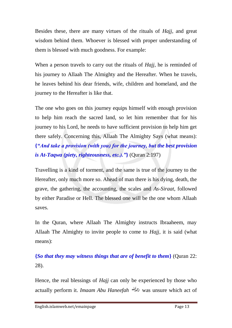Besides these, there are many virtues of the rituals of *Hajj*, and great wisdom behind them. Whoever is blessed with proper understanding of them is blessed with much goodness. For example:

When a person travels to carry out the rituals of *Hajj*, he is reminded of his journey to Allaah The Almighty and the Hereafter. When he travels, he leaves behind his dear friends, wife, children and homeland, and the journey to the Hereafter is like that.

The one who goes on this journey equips himself with enough provision to help him reach the sacred land, so let him remember that for his journey to his Lord, he needs to have sufficient provision to help him get there safely. Concerning this, Allaah The Almighty Says (what means): **{***"And take a provision (with you) for the journey, but the best provision is At-Taqwa (piety, righteousness, etc.)."***}** (Quran 2:197)

Travelling is a kind of torment, and the same is true of the journey to the Hereafter, only much more so. Ahead of man there is his dying, death, the grave, the gathering, the accounting, the scales and *As-Siraat*, followed by either Paradise or Hell. The blessed one will be the one whom Allaah saves.

In the Quran, where Allaah The Almighty instructs Ibraaheem, may Allaah The Almighty to invite people to come to *Hajj*, it is said (what means):

**{***So that they may witness things that are of benefit to them***}** (Quran 22: 28).

Hence, the real blessings of *Hajj* can only be experienced by those who actually perform it. *Imaam Abu Haneefah* was unsure which act of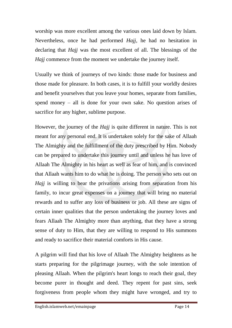worship was more excellent among the various ones laid down by Islam. Nevertheless, once he had performed *Hajj*, he had no hesitation in declaring that *Hajj* was the most excellent of all. The blessings of the *Hajj* commence from the moment we undertake the journey itself.

Usually we think of journeys of two kinds: those made for business and those made for pleasure. In both cases, it is to fulfill your worldly desires and benefit yourselves that you leave your homes, separate from families, spend money – all is done for your own sake. No question arises of sacrifice for any higher, sublime purpose.

However, the journey of the *Hajj* is quite different in nature. This is not meant for any personal end. It is undertaken solely for the sake of Allaah The Almighty and the fulfillment of the duty prescribed by Him. Nobody can be prepared to undertake this journey until and unless he has love of Allaah The Almighty in his heart as well as fear of him, and is convinced that Allaah wants him to do what he is doing. The person who sets out on *Hajj* is willing to bear the privations arising from separation from his family, to incur great expenses on a journey that will bring no material rewards and to suffer any loss of business or job. All these are signs of certain inner qualities that the person undertaking the journey loves and fears Allaah The Almighty more than anything, that they have a strong sense of duty to Him, that they are willing to respond to His summons and ready to sacrifice their material comforts in His cause.

A pilgrim will find that his love of Allaah The Almighty heightens as he starts preparing for the pilgrimage journey, with the sole intention of pleasing Allaah. When the pilgrim's heart longs to reach their goal, they become purer in thought and deed. They repent for past sins, seek forgiveness from people whom they might have wronged, and try to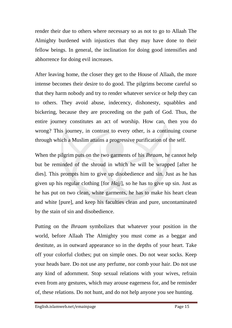render their due to others where necessary so as not to go to Allaah The Almighty burdened with injustices that they may have done to their fellow beings. In general, the inclination for doing good intensifies and abhorrence for doing evil increases.

After leaving home, the closer they get to the House of Allaah, the more intense becomes their desire to do good. The pilgrims become careful so that they harm nobody and try to render whatever service or help they can to others. They avoid abuse, indecency, dishonesty, squabbles and bickering, because they are proceeding on the path of God. Thus, the entire journey constitutes an act of worship. How can, then you do wrong? This journey, in contrast to every other, is a continuing course through which a Muslim attains a progressive purification of the self.

When the pilgrim puts on the two garments of his *Ihraam*, he cannot help but be reminded of the shroud in which he will be wrapped [after he dies]. This prompts him to give up disobedience and sin. Just as he has given up his regular clothing [for *Hajj*], so he has to give up sin. Just as he has put on two clean, white garments, he has to make his heart clean and white [pure], and keep his faculties clean and pure, uncontaminated by the stain of sin and disobedience.

Putting on the *Ihraam* symbolizes that whatever your position in the world, before Allaah The Almighty you must come as a beggar and destitute, as in outward appearance so in the depths of your heart. Take off your colorful clothes; put on simple ones. Do not wear socks. Keep your heads bare. Do not use any perfume, nor comb your hair. Do not use any kind of adornment. Stop sexual relations with your wives, refrain even from any gestures, which may arouse eagerness for, and be reminder of, these relations. Do not hunt, and do not help anyone you see hunting.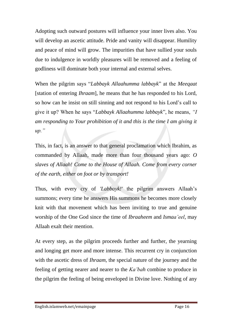Adopting such outward postures will influence your inner lives also. You will develop an ascetic attitude. Pride and vanity will disappear. Humility and peace of mind will grow. The impurities that have sullied your souls due to indulgence in worldly pleasures will be removed and a feeling of godliness will dominate both your internal and external selves.

When the pilgrim says "*Labbayk Allaahumma labbayk*" at the *Meeqaat* [station of entering *Ihraam*], he means that he has responded to his Lord, so how can he insist on still sinning and not respond to his Lord's call to give it up? When he says "*Labbayk Allaahumma labbayk*", he means, *"I am responding to Your prohibition of it and this is the time I am giving it up."* 

This, in fact, is an answer to that general proclamation which Ibrahim, as commanded by Allaah, made more than four thousand years ago: *O slaves of Allaah! Come to the House of Allaah. Come from every corner of the earth, either on foot or by transport!*

Thus, with every cry of *'Labbayk!'* the pilgrim answers Allaah's summons; every time he answers His summons he becomes more closely knit with that movement which has been inviting to true and genuine worship of the One God since the time of *Ibraaheem* and *Ismaa'eel*, may Allaah exalt their mention.

At every step, as the pilgrim proceeds further and further, the yearning and longing get more and more intense. This recurrent cry in conjunction with the ascetic dress of *Ihraam,* the special nature of the journey and the feeling of getting nearer and nearer to the *Ka'bah* combine to produce in the pilgrim the feeling of being enveloped in Divine love. Nothing of any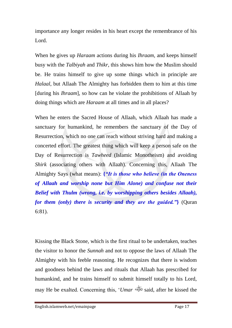importance any longer resides in his heart except the remembrance of his Lord.

When he gives up *Haraam* actions during his *Ihraam*, and keeps himself busy with the *Talbiyah* and *Thikr*, this shows him how the Muslim should be. He trains himself to give up some things which in principle are *Halaal*, but Allaah The Almighty has forbidden them to him at this time [during his *Ihraam*], so how can he violate the prohibitions of Allaah by doing things which are *Haraam* at all times and in all places?

When he enters the Sacred House of Allaah, which Allaah has made a sanctuary for humankind, he remembers the sanctuary of the Day of Resurrection, which no one can reach without striving hard and making a concerted effort. The greatest thing which will keep a person safe on the Day of Resurrection is *Tawheed* (Islamic Monotheism) and avoiding *Shirk* (associating others with Allaah). Concerning this, Allaah The Almighty Says (what means): **{***"It is those who believe (in the Oneness of Allaah and worship none but Him Alone) and confuse not their Belief with Thulm (wrong, i.e. by worshipping others besides Allaah), for them (only) there is security and they are the guided."***}** (Quran 6:81).

Kissing the Black Stone, which is the first ritual to be undertaken, teaches the visitor to honor the *Sunnah* and not to oppose the laws of Allaah The Almighty with his feeble reasoning. He recognizes that there is wisdom and goodness behind the laws and rituals that Allaah has prescribed for humankind, and he trains himself to submit himself totally to his Lord, may He be exalted. Concerning this, '*Umar* said, after he kissed the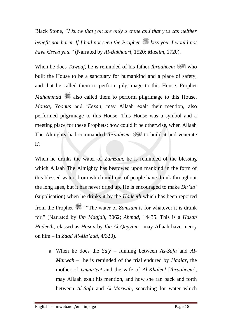Black Stone, *"I know that you are only a stone and that you can neither benefit nor harm. If I had not seen the Prophet*  $\frac{1}{25}$  kiss you, I would not *have kissed you."* (Narrated by *Al-Bukhaari*, 1520; *Muslim*, 1720).

When he does *Tawaaf*, he is reminded of his father *Ibraaheem* who built the House to be a sanctuary for humankind and a place of safety, and that he called them to perform pilgrimage to this House. Prophet *Muhammad*  $\frac{36}{25}$  also called them to perform pilgrimage to this House. *Mousa, Yoonus* and '*Eesaa*, may Allaah exalt their mention, also performed pilgrimage to this House. This House was a symbol and a meeting place for these Prophets; how could it be otherwise, when Allaah The Almighty had commanded *Ibraaheem* to build it and venerate it?

When he drinks the water of *Zamzam*, he is reminded of the blessing which Allaah The Almighty has bestowed upon mankind in the form of this blessed water, from which millions of people have drunk throughout the long ages, but it has never dried up. He is encouraged to make *Du'aa*' (supplication) when he drinks it by the *Hadeeth* which has been reported from the Prophet  $\mathcal{H}$  "The water of *Zamzam* is for whatever it is drunk for." (Narrated by *Ibn Maajah*, 3062; *Ahmad*, 14435. This is a *Hasan Hadeeth;* classed as *Hasan* by *Ibn Al-Qayyim* – may Allaah have mercy on him – in *Zaad Al-Ma'aad*, 4/320).

a. When he does the *Sa'y* – running between *As-Safa* and *Al*-*Marwah* – he is reminded of the trial endured by *Haajar*, the mother of *Ismaa'eel* and the wife of *Al-Khaleel* [*Ibraaheem*], may Allaah exalt his mention, and how she ran back and forth between *Al-Safa* and *Al-Marwah*, searching for water which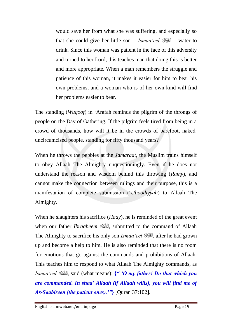would save her from what she was suffering, and especially so that she could give her little son – *Ismaa'eel* – water to drink. Since this woman was patient in the face of this adversity and turned to her Lord, this teaches man that doing this is better and more appropriate. When a man remembers the struggle and patience of this woman, it makes it easier for him to bear his own problems, and a woman who is of her own kind will find her problems easier to bear.

The standing (*Wuqoof*) in 'Arafah reminds the pilgrim of the throngs of people on the Day of Gathering. If the pilgrim feels tired from being in a crowd of thousands, how will it be in the crowds of barefoot, naked, uncircumcised people, standing for fifty thousand years?

When he throws the pebbles at the *Jamaraat*, the Muslim trains himself to obey Allaah The Almighty unquestioningly. Even if he does not understand the reason and wisdom behind this throwing (*Ramy*), and cannot make the connection between rulings and their purpose, this is a manifestation of complete submission ('*Uboodiyyah*) to Allaah The Almighty.

When he slaughters his sacrifice (*Hady*), he is reminded of the great event when our father *Ibraaheem* , submitted to the command of Allaah The Almighty to sacrifice his only son *Ismaa'eel* , after he had grown up and become a help to him. He is also reminded that there is no room for emotions that go against the commands and prohibitions of Allaah. This teaches him to respond to what Allaah The Almighty commands, as *Ismaa'eel* , said (what means): **{***" 'O my father! Do that which you are commanded. In shaa' Allaah (if Allaah wills), you will find me of As-Saabireen (the patient ones).'"***}** [Quran 37:102].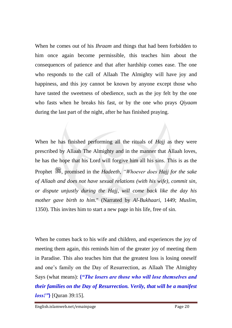When he comes out of his *Ihraam* and things that had been forbidden to him once again become permissible, this teaches him about the consequences of patience and that after hardship comes ease. The one who responds to the call of Allaah The Almighty will have joy and happiness, and this joy cannot be known by anyone except those who have tasted the sweetness of obedience, such as the joy felt by the one who fasts when he breaks his fast, or by the one who prays *Qiyaam* during the last part of the night, after he has finished praying.

When he has finished performing all the rituals of *Hajj* as they were prescribed by Allaah The Almighty and in the manner that Allaah loves, he has the hope that his Lord will forgive him all his sins. This is as the Prophet  $\mathscr{H}$ , promised in the *Hadeeth*, *"Whoever does Hajj for the sake of Allaah and does not have sexual relations (with his wife), commit sin, or dispute unjustly during the Hajj, will come back like the day his mother gave birth to him.*" (Narrated by *Al-Bukhaari*, 1449; *Muslim*, 1350). This invites him to start a new page in his life, free of sin.

When he comes back to his wife and children, and experiences the joy of meeting them again, this reminds him of the greater joy of meeting them in Paradise. This also teaches him that the greatest loss is losing oneself and one's family on the Day of Resurrection, as Allaah The Almighty Says (what means): **{***"The losers are those who will lose themselves and their families on the Day of Resurrection. Verily, that will be a manifest loss!"***}** [Quran 39:15].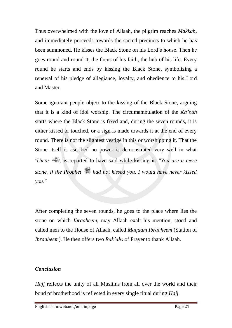Thus overwhelmed with the love of Allaah, the pilgrim reaches *Makkah*, and immediately proceeds towards the sacred precincts to which he has been summoned. He kisses the Black Stone on his Lord's house. Then he goes round and round it, the focus of his faith, the hub of his life. Every round he starts and ends by kissing the Black Stone, symbolizing a renewal of his pledge of allegiance, loyalty, and obedience to his Lord and Master.

Some ignorant people object to the kissing of the Black Stone, arguing that it is a kind of idol worship. The circumambulation of the *Ka'bah* starts where the Black Stone is fixed and, during the seven rounds, it is either kissed or touched, or a sign is made towards it at the end of every round. There is not the slightest vestige in this or worshipping it. That the Stone itself is ascribed no power is demonstrated very well in what '*Umar* , is reported to have said while kissing it: *"You are a mere stone. If the Prophet had not kissed you, I would have never kissed you."*

After completing the seven rounds, he goes to the place where lies the stone on which *Ibraaheem*, may Allaah exalt his mention, stood and called men to the House of Allaah, called *Maqaam Ibraaheem* (Station of *Ibraaheem*). He then offers two *Rak'ahs* of Prayer to thank Allaah.

#### *Conclusion*

*Hajj* reflects the unity of all Muslims from all over the world and their bond of brotherhood is reflected in every single ritual during *Hajj*.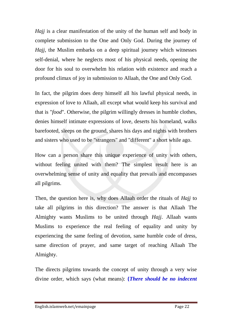*Hajj* is a clear manifestation of the unity of the human self and body in complete submission to the One and Only God. During the journey of *Hajj*, the Muslim embarks on a deep spiritual journey which witnesses self-denial, where he neglects most of his physical needs, opening the door for his soul to overwhelm his relation with existence and reach a profound climax of joy in submission to Allaah, the One and Only God.

In fact, the pilgrim does deny himself all his lawful physical needs, in expression of love to Allaah, all except what would keep his survival and that is "*food*". Otherwise, the pilgrim willingly dresses in humble clothes, denies himself intimate expressions of love, deserts his homeland, walks barefooted, sleeps on the ground, shares his days and nights with brothers and sisters who used to be "strangers" and "different" a short while ago.

How can a person share this unique experience of unity with others, without feeling united with them? The simplest result here is an overwhelming sense of unity and equality that prevails and encompasses all pilgrims.

Then, the question here is, why does Allaah order the rituals of *Hajj* to take all pilgrims in this direction? The answer is that Allaah The Almighty wants Muslims to be united through *Hajj*. Allaah wants Muslims to experience the real feeling of equality and unity by experiencing the same feeling of devotion, same humble code of dress, same direction of prayer, and same target of reaching Allaah The Almighty.

The directs pilgrims towards the concept of unity through a very wise divine order, which says (what means): **{***There should be no indecent*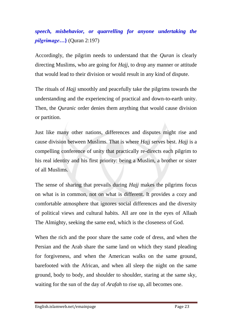## *speech, misbehavior, or quarrelling for anyone undertaking the pilgrimage…***}** (Quran 2:197)

Accordingly, the pilgrim needs to understand that the *Quran* is clearly directing Muslims, who are going for *Hajj*, to drop any manner or attitude that would lead to their division or would result in any kind of dispute.

The rituals of *Hajj* smoothly and peacefully take the pilgrims towards the understanding and the experiencing of practical and down-to-earth unity. Then, the *Quranic* order denies them anything that would cause division or partition.

Just like many other nations, differences and disputes might rise and cause division between Muslims. That is where *Hajj* serves best. *Hajj* is a compelling conference of unity that practically re-directs each pilgrim to his real identity and his first priority: being a Muslim, a brother or sister of all Muslims.

The sense of sharing that prevails during *Hajj* makes the pilgrims focus on what is in common, not on what is different. It provides a cozy and comfortable atmosphere that ignores social differences and the diversity of political views and cultural habits. All are one in the eyes of Allaah The Almighty, seeking the same end, which is the closeness of God.

When the rich and the poor share the same code of dress, and when the Persian and the Arab share the same land on which they stand pleading for forgiveness, and when the American walks on the same ground, barefooted with the African, and when all sleep the night on the same ground, body to body, and shoulder to shoulder, staring at the same sky, waiting for the sun of the day of *Arafah* to rise up, all becomes one.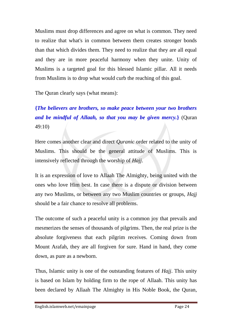Muslims must drop differences and agree on what is common. They need to realize that what's in common between them creates stronger bonds than that which divides them. They need to realize that they are all equal and they are in more peaceful harmony when they unite. Unity of Muslims is a targeted goal for this blessed Islamic pillar. All it needs from Muslims is to drop what would curb the reaching of this goal.

The Quran clearly says (what means):

**{***The believers are brothers, so make peace between your two brothers and be mindful of Allaah, so that you may be given mercy.***}** (Quran 49:10)

Here comes another clear and direct *Quranic* order related to the unity of Muslims. This should be the general attitude of Muslims. This is intensively reflected through the worship of *Hajj*.

It is an expression of love to Allaah The Almighty, being united with the ones who love Him best. In case there is a dispute or division between any two Muslims, or between any two Muslim countries or groups, *Hajj* should be a fair chance to resolve all problems.

The outcome of such a peaceful unity is a common joy that prevails and mesmerizes the senses of thousands of pilgrims. Then, the real prize is the absolute forgiveness that each pilgrim receives. Coming down from Mount Arafah, they are all forgiven for sure. Hand in hand, they come down, as pure as a newborn.

Thus, Islamic unity is one of the outstanding features of *Hajj*. This unity is based on Islam by holding firm to the rope of Allaah. This unity has been declared by Allaah The Almighty in His Noble Book, the Quran,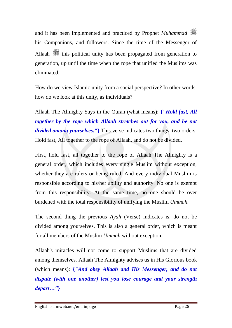and it has been implemented and practiced by Prophet *Muhammad* his Companions, and followers. Since the time of the Messenger of Allaah  $\frac{360}{1000}$  this political unity has been propagated from generation to generation, up until the time when the rope that unified the Muslims was eliminated.

How do we view Islamic unity from a social perspective? In other words, how do we look at this unity, as individuals?

Allaah The Almighty Says in the Quran (what means): **{***"Hold fast, All together by the rope which Allaah stretches out for you, and be not divided among yourselves."***}** This verse indicates two things, two orders: Hold fast, All together to the rope of Allaah, and do not be divided.

First, hold fast, all together to the rope of Allaah The Almighty is a general order, which includes every single Muslim without exception, whether they are rulers or being ruled. And every individual Muslim is responsible according to his/her ability and authority. No one is exempt from this responsibility. At the same time, no one should be over burdened with the total responsibility of unifying the Muslim *Ummah.*

The second thing the previous *Ayah* (Verse) indicates is, do not be divided among yourselves. This is also a general order, which is meant for all members of the Muslim *Ummah* without exception.

Allaah's miracles will not come to support Muslims that are divided among themselves. Allaah The Almighty advises us in His Glorious book (which means): **{***"And obey Allaah and His Messenger, and do not dispute (with one another) lest you lose courage and your strength depart…"***}**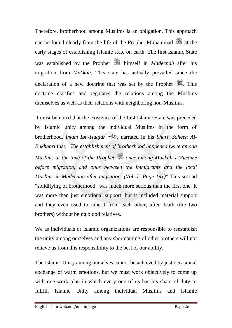Therefore, brotherhood among Muslims is an obligation. This approach can be found clearly from the life of the Prophet Muhammad  $\frac{dS}{dx}$  at the early stages of establishing Islamic state on earth. The first Islamic State was established by the Prophet **in** himself in *Madeenah* after his migration from *Makkah*. This state has actually prevailed since the declaration of a new doctrine that was set by the Prophet . This doctrine clarifies and regulates the relations among the Muslims themselves as well as their relations with neighboring non-Muslims.

It must be noted that the existence of the first Islamic State was preceded by Islamic unity among the individual Muslims in the form of brotherhood. *Imam Ibn-Haajar*  $z^2$ , narrated in his *Sharh Saheeh Al-Bukhaari* that, *"The establishment of brotherhood happened twice among Muslims at the time of the Prophet once among Makkah's Muslims before migration, and once between the immigrants and the local Muslims in Madeenah after migration. (Vol. 7, Page 191)"* This second "solidifying of brotherhood" was much more serious than the first one. It was more than just emotional support, but it included material support and they even used to inherit from each other, after death (the two brothers) without being blood relatives.

We as individuals or Islamic organizations are responsible to reestablish the unity among ourselves and any shortcoming of other brothers will not relieve us from this responsibility to the best of our ability.

The Islamic Unity among ourselves cannot be achieved by just occasional exchange of warm emotions, but we must work objectively to come up with one work plan in which every one of us has his share of duty to fulfill. Islamic Unity among individual Muslims and Islamic